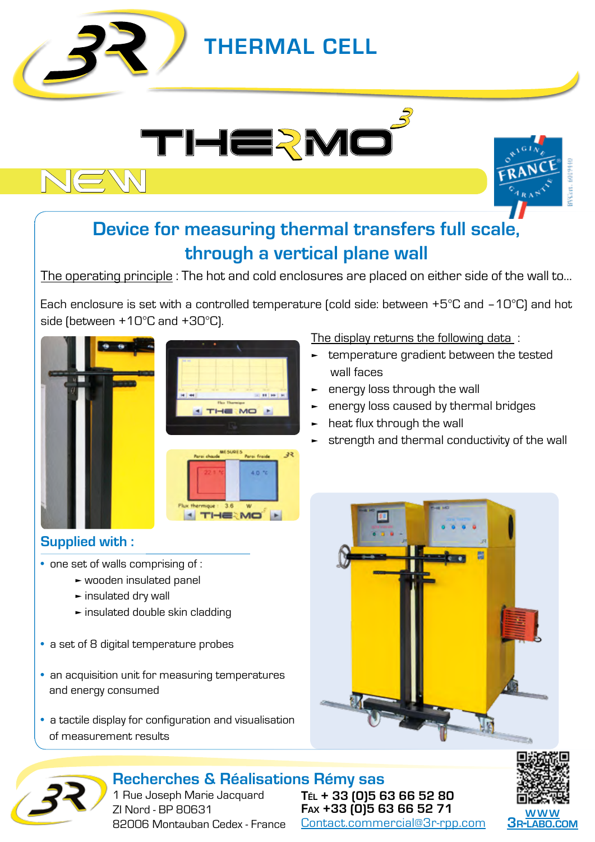

# **THERMAL CELL**





## **Device for measuring thermal transfers full scale, through a vertical plane wall**

The operating principle : The hot and cold enclosures are placed on either side of the wall to…

Each enclosure is set with a controlled temperature (cold side: between +5°C and –10°C) and hot side (between +10°C and +30°C).



| <b>DE RE</b> |                                 |
|--------------|---------------------------------|
|              |                                 |
|              | <b>SE 11 19</b>                 |
|              | <b>Flax Thermique</b><br>THE MO |
|              |                                 |



### **Supplied with :**

- one set of walls comprising of :
	- ► wooden insulated panel
	- ► insulated dry wall
	- ► insulated double skin cladding
- a set of 8 digital temperature probes
- an acquisition unit for measuring temperatures and energy consumed
- a tactile display for configuration and visualisation of measurement results

#### The display returns the following data :

- ► temperature gradient between the tested wall faces
- energy loss through the wall
- energy loss caused by thermal bridges
- heat flux through the wall
- strength and thermal conductivity of the wall





**Recherches & Réalisations Rémy sas** 1 Rue Joseph Marie Jacquard ZI Nord - BP 80631 82006 Montauban Cedex - France

**Tél + 33 (0)5 63 66 52 80 Fax +33 (0)5 63 66 52 71** Contact.commercial@3r-rpp.com